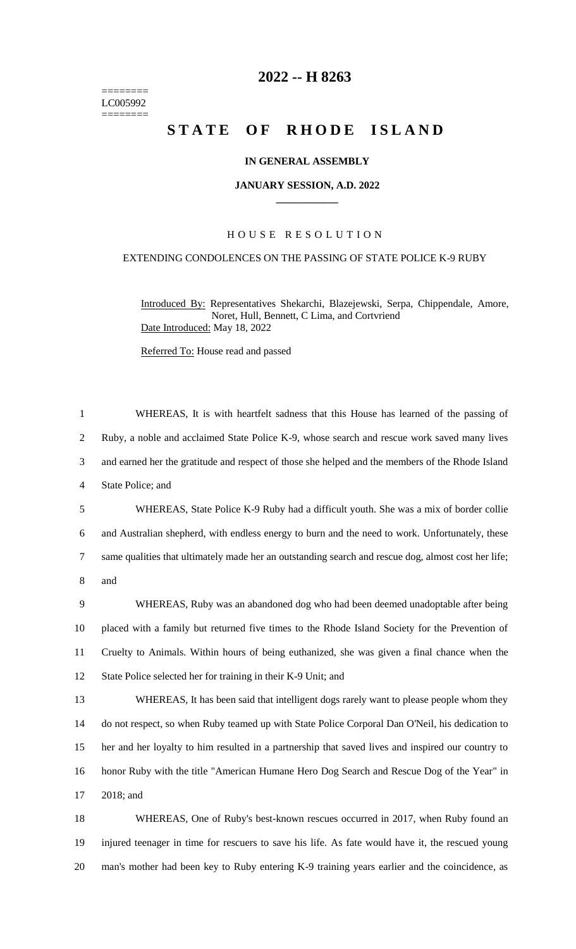======== LC005992 ========

## **2022 -- H 8263**

# **STATE OF RHODE ISLAND**

#### **IN GENERAL ASSEMBLY**

#### **JANUARY SESSION, A.D. 2022 \_\_\_\_\_\_\_\_\_\_\_\_**

#### H O U S E R E S O L U T I O N

### EXTENDING CONDOLENCES ON THE PASSING OF STATE POLICE K-9 RUBY

Introduced By: Representatives Shekarchi, Blazejewski, Serpa, Chippendale, Amore, Noret, Hull, Bennett, C Lima, and Cortvriend Date Introduced: May 18, 2022

Referred To: House read and passed

| $\mathbf{1}$   | WHEREAS, It is with heartfelt sadness that this House has learned of the passing of                 |
|----------------|-----------------------------------------------------------------------------------------------------|
| $\overline{2}$ | Ruby, a noble and acclaimed State Police K-9, whose search and rescue work saved many lives         |
| 3              | and earned her the gratitude and respect of those she helped and the members of the Rhode Island    |
| 4              | State Police; and                                                                                   |
| 5              | WHEREAS, State Police K-9 Ruby had a difficult youth. She was a mix of border collie                |
| 6              | and Australian shepherd, with endless energy to burn and the need to work. Unfortunately, these     |
| $\tau$         | same qualities that ultimately made her an outstanding search and rescue dog, almost cost her life; |
| 8              | and                                                                                                 |
| 9              | WHEREAS, Ruby was an abandoned dog who had been deemed unadoptable after being                      |
| 10             | placed with a family but returned five times to the Rhode Island Society for the Prevention of      |
| 11             | Cruelty to Animals. Within hours of being euthanized, she was given a final chance when the         |
| 12             | State Police selected her for training in their K-9 Unit; and                                       |
| 13             | WHEREAS, It has been said that intelligent dogs rarely want to please people whom they              |
| 14             | do not respect, so when Ruby teamed up with State Police Corporal Dan O'Neil, his dedication to     |
| 15             | her and her loyalty to him resulted in a partnership that saved lives and inspired our country to   |
| 16             | honor Ruby with the title "American Humane Hero Dog Search and Rescue Dog of the Year" in           |
| 17             | 2018; and                                                                                           |
| 18             | WHEREAS, One of Ruby's best-known rescues occurred in 2017, when Ruby found an                      |

19 injured teenager in time for rescuers to save his life. As fate would have it, the rescued young 20 man's mother had been key to Ruby entering K-9 training years earlier and the coincidence, as